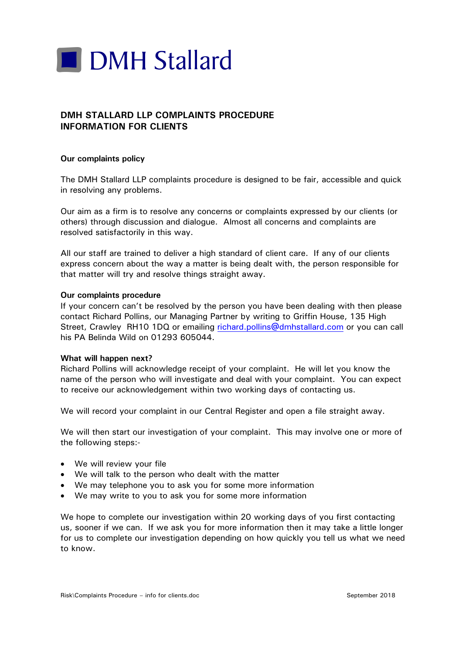

## **DMH STALLARD LLP COMPLAINTS PROCEDURE INFORMATION FOR CLIENTS**

## **Our complaints policy**

The DMH Stallard LLP complaints procedure is designed to be fair, accessible and quick in resolving any problems.

Our aim as a firm is to resolve any concerns or complaints expressed by our clients (or others) through discussion and dialogue. Almost all concerns and complaints are resolved satisfactorily in this way.

All our staff are trained to deliver a high standard of client care. If any of our clients express concern about the way a matter is being dealt with, the person responsible for that matter will try and resolve things straight away.

## **Our complaints procedure**

If your concern can't be resolved by the person you have been dealing with then please contact Richard Pollins, our Managing Partner by writing to Griffin House, 135 High Street, Crawley RH10 1DQ or emailing richard.pollins@dmhstallard.com or you can call his PA Belinda Wild on 01293 605044.

## **What will happen next?**

Richard Pollins will acknowledge receipt of your complaint. He will let you know the name of the person who will investigate and deal with your complaint. You can expect to receive our acknowledgement within two working days of contacting us.

We will record your complaint in our Central Register and open a file straight away.

We will then start our investigation of your complaint. This may involve one or more of the following steps:-

- We will review your file
- We will talk to the person who dealt with the matter
- We may telephone you to ask you for some more information
- We may write to you to ask you for some more information

We hope to complete our investigation within 20 working days of you first contacting us, sooner if we can. If we ask you for more information then it may take a little longer for us to complete our investigation depending on how quickly you tell us what we need to know.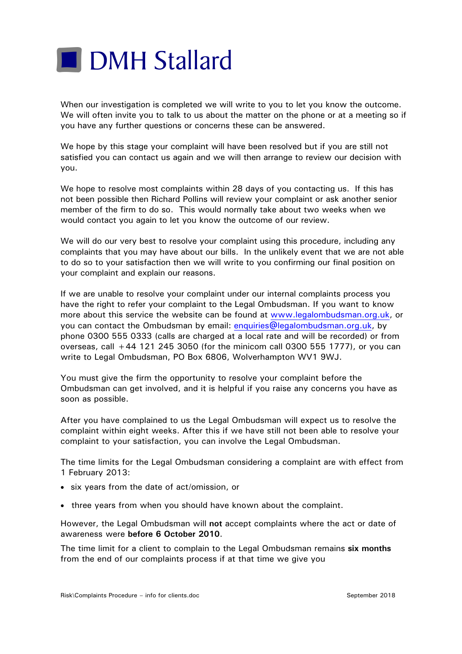

When our investigation is completed we will write to you to let you know the outcome. We will often invite you to talk to us about the matter on the phone or at a meeting so if you have any further questions or concerns these can be answered.

We hope by this stage your complaint will have been resolved but if you are still not satisfied you can contact us again and we will then arrange to review our decision with you.

We hope to resolve most complaints within 28 days of you contacting us. If this has not been possible then Richard Pollins will review your complaint or ask another senior member of the firm to do so. This would normally take about two weeks when we would contact you again to let you know the outcome of our review.

We will do our very best to resolve your complaint using this procedure, including any complaints that you may have about our bills. In the unlikely event that we are not able to do so to your satisfaction then we will write to you confirming our final position on your complaint and explain our reasons.

If we are unable to resolve your complaint under our internal complaints process you have the right to refer your complaint to the Legal Ombudsman. If you want to know more about this service the website can be found at www.legalombudsman.org.uk, or you can contact the Ombudsman by email: enquiries@legalombudsman.org.uk, by phone 0300 555 0333 (calls are charged at a local rate and will be recorded) or from overseas, call +44 121 245 3050 (for the minicom call 0300 555 1777), or you can write to Legal Ombudsman, PO Box 6806, Wolverhampton WV1 9WJ.

You must give the firm the opportunity to resolve your complaint before the Ombudsman can get involved, and it is helpful if you raise any concerns you have as soon as possible.

After you have complained to us the Legal Ombudsman will expect us to resolve the complaint within eight weeks. After this if we have still not been able to resolve your complaint to your satisfaction, you can involve the Legal Ombudsman.

The time limits for the Legal Ombudsman considering a complaint are with effect from 1 February 2013:

- six years from the date of act/omission, or
- three years from when you should have known about the complaint.

However, the Legal Ombudsman will **not** accept complaints where the act or date of awareness were **before 6 October 2010**.

The time limit for a client to complain to the Legal Ombudsman remains **six months** from the end of our complaints process if at that time we give you